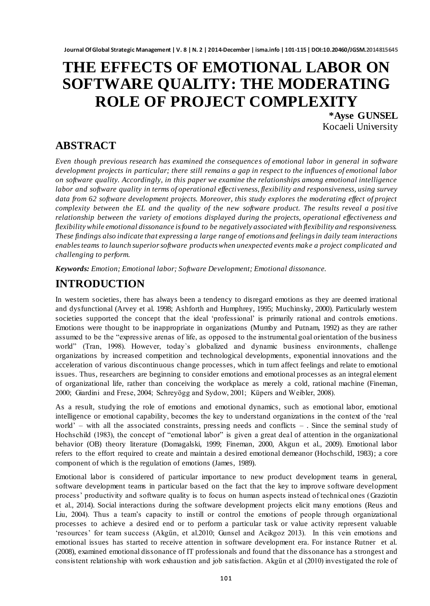# **THE EFFECTS OF EMOTIONAL LABOR ON SOFTWARE QUALITY: THE MODERATING ROLE OF PROJECT COMPLEXITY**

**\*Ayse GUNSEL** Kocaeli University

## **ABSTRACT**

*Even though previous research has examined the consequences of emotional labor in general in software development projects in particular; there still remains a gap in respect to the influences of emotional labor on software quality. Accordingly, in this paper we examine the relationships among emotional intelligence labor and software quality in terms of operational effectiveness, flexibility and responsiveness, using survey data from 62 software development projects. Moreover, this study explores the moderating effect of project complexity between the EL and the quality of the new software product. The results reveal a posi tive relationship between the variety of emotions displayed during the projects, operational effectiveness and flexibility while emotional dissonance is found to be negatively associated with flexibility and responsiveness. These findings also indicate that expressing a large range of emotions and feelings in daily team interactions enablesteams to launch superior software products when unexpected events make a project complicated and challenging to perform.*

*Keywords: Emotion; Emotional labor; Software Development; Emotional dissonance.*

# **INTRODUCTION**

In western societies, there has always been a tendency to disregard emotions as they are deemed irrational and dysfunctional (Arvey et al. 1998; Ashforth and Humphrey, 1995; Muchinsky, 2000). Particularly western societies supported the concept that the ideal 'professional' is primarily rational and controls emotions. Emotions were thought to be inappropriate in organizations (Mumby and Putnam, 1992) as they are rather assumed to be the "expressive arenas of life, as opposed to the instrumental goal orientation of the business world" (Tran, 1998). However, today`s globalized and dynamic business environments, challenge organizations by increased competition and technological developments, exponential innovations and the acceleration of various discontinuous change processes, which in turn affect feelings and relate to emotional issues. Thus, researchers are beginning to consider emotions and emotional processes as an integral element of organizational life, rather than conceiving the workplace as merely a cold, rational machine (Fineman, 2000; Giardini and Frese, 2004; Schreyögg and Sydow, 2001; Küpers and Weibler, 2008).

As a result, studying the role of emotions and emotional dynamics, such as emotional labor, emotional intelligence or emotional capability, becomes the key to understand organizations in the context of the "real world" – with all the associated constraints, pressing needs and conflicts – . Since the seminal study of Hochschild (1983), the concept of "emotional labor" is given a great deal of attention in the organizational behavior (OB) theory literature (Domagalski, 1999; Fineman, 2000, Akgun et al., 2009). Emotional labor refers to the effort required to create and maintain a desired emotional demeanor (Hochschild, 1983); a core component of which is the regulation of emotions (James, 1989).

Emotional labor is considered of particular importance to new product development teams in general, software development teams in particular based on the fact that the key to improve software development process" productivity and software quality is to focus on human aspects instead of technical ones [\(Graziotin](https://peerj.com/articles/289/author-1)  [et al.,](https://peerj.com/articles/289/author-1) 2014). Social interactions during the software development projects elicit many emotions (Reus and Liu, 2004). Thus a team"s capacity to instill or control the emotions of people through organizational processes to achieve a desired end or to perform a particular task or value activity represent valuable "resources" for team success (Akgün, et al.2010; Gunsel and Acikgoz 2013). In this vein emotions and emotional issues has started to receive attention in software development era. For instance Rutner et al. (2008), examined emotional dissonance of IT professionals and found that the dissonance has a strongest and consistent relationship with work exhaustion and job satisfaction. Akgün et al (2010) investigated the role of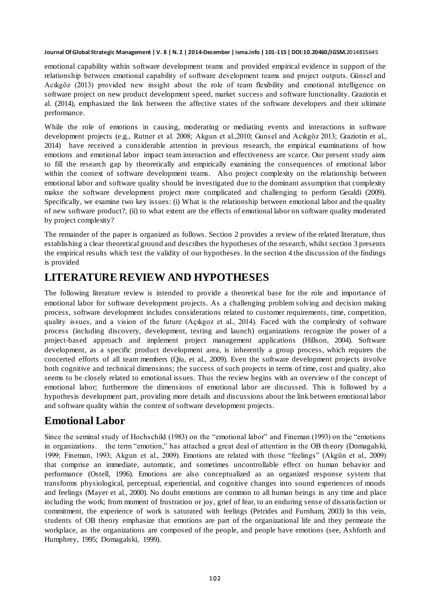emotional capability within software development teams and provided empirical evidence in support of the relationship between emotional capability of software development teams and project outputs. Günsel and Acıkgöz (2013) provided new insight about the role of team flexibility and emotional intelligence on software project on new product development speed, market success and software functionalit[y. Graziotin et](https://peerj.com/articles/289/author-1)  [al.](https://peerj.com/articles/289/author-1) (2014), emphasized the link between the affective states of the software developers and their ultimate performance.

While the role of emotions in causing, moderating or mediating events and interactions in software development projects (e.g., Rutner et al. 2008; Akgun et al.,2010; Gunsel and Acıkgöz 2013[; Graziotin et al.,](https://peerj.com/articles/289/author-1) 2014) have received a considerable attention in previous research, the empirical examinations of how emotions and emotional labor impact team interaction and effectiveness are scarce. Our present study aims to fill the research gap by theoretically and empirically examining the consequences of emotional labor within the context of software development teams. Also project complexity on the relationship between emotional labor and software quality should be investigated due to the dominant assumption that complexity makse the software development project more complicated and challenging to perform Geraldi (2009). Specifically, we examine two key issues: (i) What is the relationship between emotional labor and the quality of new software product?, (ii) to what extent are the effects of emotional labor on software quality moderated by project complexity?

The remainder of the paper is organized as follows. Section 2 provides a review of the related literature, thus establishing a clear theoretical ground and describes the hypotheses of the research, whilst section 3 presents the empirical results which test the validity of our hypotheses. In the section 4 the discussion of the findings is provided

### **LITERATURE REVIEW AND HYPOTHESES**

The following literature review is intended to provide a theoretical base for the role and importance of emotional labor for software development projects. As a challenging problem solving and decision making process, software development includes considerations related to customer requirements, time, competition, quality issues, and a vision of the future (Açıkgoz et al., 2014). Faced with the complexity of software process (including discovery, development, testing and launch) organizations recognize the power of a project-based approach and implement project management applications (Hillson, 2004). Software development, as a specific product development area, is inherently a group process, which requires the concerted efforts of all team members (Qiu, et al., 2009). Even the software development projects involve both cognitive and technical dimensions; the success of such projects in terms of time, cost and quality, also seems to be closely related to emotional issues. Thus the review begins with an overview of the concept of emotional labor; furthermore the dimensions of emotional labor are discussed. This is followed by a hypothesis development part, providing more details and discussions about the link between emotional labor and software quality within the context of software development projects.

### **Emotional Labor**

Since the seminal study of Hochschild (1983) on the "emotional labor" and Fineman (1993) on the "emotions in organizations. the term "emotion," has attached a great deal of attention in the OB theory (Domagalski, 1999; Fineman, 1993; Akgun et al., 2009). Emotions are related with those "feelings" (Akgün et al., 2009) that comprise an immediate, automatic, and sometimes uncontrollable effect on human behavior and performance (Ostell, 1996). Emotions are also conceptualized as an organized response system that transforms physiological, perceptual, experiential, and cognitive changes into sound experiences of moods and feelings (Mayer et al., 2000). No doubt emotions are common to all human beings in any time and place including the work; from moment of frustration or joy, grief of fear, to an enduring sense of dissatisfaction or commitment, the experience of work is saturated with feelings (Petrides and Furnham, 2003) In this vein, students of OB theory emphasize that emotions are part of the organizational life and they permeate the workplace, as the organizations are composed of the people, and people have emotions (see, Ashforth and Humphrey, 1995; Domagalski, 1999).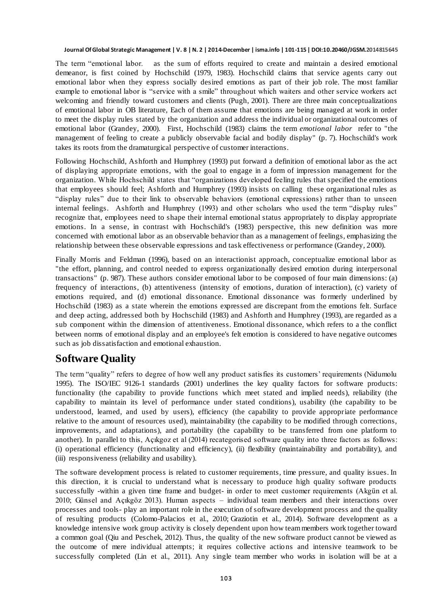The term "emotional labor. as the sum of efforts required to create and maintain a desired emotional demeanor, is first coined by Hochschild (1979, 1983). Hochschild claims that service agents carry out emotional labor when they express socially desired emotions as part of their job role. The most familiar example to emotional labor is "service with a smile" throughout which waiters and other service workers act welcoming and friendly toward customers and clients (Pugh, 2001). There are three main conceptualizations of emotional labor in OB literature, Each of them assume that emotions are being managed at work in order to meet the display rules stated by the organization and address the individual or organizational outcomes of emotional labor (Grandey, 2000). First, Hochschild (1983) claims the term *emotional labor* refer to "the management of feeling to create a publicly observable facial and bodily display" (p. 7). Hochschild's work takes its roots from the dramaturgical perspective of customer interactions.

Following Hochschild, Ashforth and Humphrey (1993) put forward a definition of emotional labor as the act of displaying appropriate emotions, with the goal to engage in a form of impression management for the organization. While Hochschild states that "organizations developed feeling rules that specified the emotions that employees should feel; Ashforth and Humphrey (1993) insists on calling these organizational rules as "display rules" due to their link to observable behaviors (emotional expressions) rather than to unseen internal feelings. Ashforth and Humphrey (1993) and other scholars who used the term "display rules" recognize that, employees need to shape their internal emotional status appropriately to display appropriate emotions. In a sense, in contrast with Hochschild's (1983) perspective, this new definition was more concerned with emotional labor as an observable behavior than as a management of feelings, emphasizing the relationship between these observable expressions and task effectiveness or performance (Grandey, 2000).

Finally Morris and Feldman (1996), based on an interactionist approach, conceptualize emotional labor as "the effort, planning, and control needed to express organizationally desired emotion during interpersonal transactions" (p. 987). These authors consider emotional labor to be composed of four main dimensions: (a) frequency of interactions, (b) attentiveness (intensity of emotions, duration of interaction), (c) variety of emotions required, and (d) emotional dissonance. Emotional dissonance was fo rmerly underlined by Hochschild (1983) as a state wherein the emotions expressed are discrepant from the emotions felt. Surface and deep acting, addressed both by Hochschild (1983) and Ashforth and Humphrey (1993), are regarded as a sub component within the dimension of attentiveness. Emotional dissonance, which refers to a the conflict between norms of emotional display and an employee's felt emotion is considered to have negative outcomes such as job dissatisfaction and emotional exhaustion.

### **Software Quality**

The term "quality" refers to degree of how well any product satisfies its customers" requirements (Nidumolu 1995). The ISO/IEC 9126-1 standards (2001) underlines the key quality factors for software products: functionality (the capability to provide functions which meet stated and implied needs), reliability (the capability to maintain its level of performance under stated conditions), usability (the capability to be understood, learned, and used by users), efficiency (the capability to provide appropriate performance relative to the amount of resources used), maintainability (the capability to be modified through corrections, improvements, and adaptations), and portability (the capability to be transferred from one platform to another). In parallel to this, Açıkgoz et al (2014) recategorised software quality into three factors as follows: (i) operational efficiency (functionality and efficiency), (ii) flexibility (maintainability and portability), and (iii) responsiveness (reliability and usability).

The software development process is related to customer requirements, time pressure, and quality issues. In this direction, it is crucial to understand what is necessary to produce high quality software products successfully -within a given time frame and budget- in order to meet customer requirements (Akgün et al. 2010; Günsel and Açıkgöz 2013). Human aspects – individual team members and their interactions over processes and tools- play an important role in the execution of software development process and the quality of resulting products [\(Colomo-Palacios et al., 2010](http://dx.doi.org/10.1007%2F978-3-642-16324-1_1); [Graziotin et al.,](https://peerj.com/articles/289/author-1) 2014). Software development as a knowledge intensive work group activity is closely dependent upon how team members work together toward a common goal (Qiu and Peschek, 2012). Thus, the quality of the new software product cannot be viewed as the outcome of mere individual attempts; it requires collective actio ns and intensive teamwork to be successfully completed (Lin et al., 2011). Any single team member who works in isolation will be at a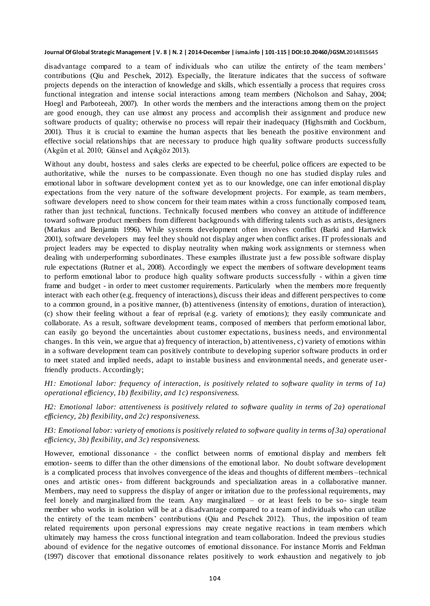disadvantage compared to a team of individuals who can utilize the entirety of the team members' contributions (Qiu and Peschek, 2012). Especially, the literature indicates that the success of software projects depends on the interaction of knowledge and skills, which essentially a process that requires cross functional integration and intense social interactions among team members (Nicholson and Sahay, 2004; Hoegl and Parboteeah, 2007). In other words the members and the interactions among them on the project are good enough, they can use almost any process and accomplish their assignment and produce new software products of quality; otherwise no process will repair their inadequacy (Highsmith and Cockburn, 2001). Thus it is crucial to examine the human aspects that lies beneath the positive environment and effective social relationships that are necessary to produce high quality software products successfully (Akgün et al. 2010; Günsel and Açıkgöz 2013).

Without any doubt, hostess and sales clerks are expected to be cheerful, police officers are expected to be authoritative, while the nurses to be compassionate. Even though no one has studied display rules and emotional labor in software development context yet as to our knowledge, one can infer emotional display expectations from the very nature of the software development projects. For example, as team members, software developers need to show concern for their team mates within a cross functionally composed team, rather than just technical, functions. Technically focused members who convey an attitude of indifference toward software product members from different backgrounds with differing talents such as artists, designers (Markus and Benjamin 1996). While systems development often involves conflict (Barki and Hartwick 2001), software developers may feel they should not display anger when conflict arises. IT professionals and project leaders may be expected to display neutrality when making work assignments or sternness when dealing with underperforming subordinates. These examples illustrate just a few possible software display rule expectations (Rutner et al., 2008). Accordingly we expect the members of software development teams to perform emotional labor to produce high quality software products successfully - within a given time frame and budget - in order to meet customer requirements. Particularly when the members more frequently interact with each other (e.g. frequency of interactions), discuss their ideas and different perspectives to come to a common ground, in a positive manner, (b) attentiveness (intensity of emotions, duration of interaction), (c) show their feeling without a fear of reprisal (e.g. variety of emotions); they easily communicate and collaborate. As a result, software development teams, composed of members that perform emotional labor, can easily go beyond the uncertainties about customer expectations, business needs, and environmental changes. In this vein, we argue that a) frequency of interaction, b) attentiveness, c) variety of emotions within in a software development team can positively contribute to developing superior software products in ord er to meet stated and implied needs, adapt to instable business and environmental needs, and generate userfriendly products. Accordingly;

*H1: Emotional labor: frequency of interaction, is positively related to software quality in terms of 1a) operational efficiency, 1b) flexibility, and 1c) responsiveness.*

*H2: Emotional labor: attentiveness is positively related to software quality in terms of 2a) operational efficiency, 2b) flexibility, and 2c) responsiveness.*

*H3: Emotional labor: variety of emotions is positively related to software quality in terms of 3a) operational efficiency, 3b) flexibility, and 3c) responsiveness.*

However, emotional dissonance - the conflict between norms of emotional display and members felt emotion- seems to differ than the other dimensions of the emotional labor. No doubt software development is a complicated process that involves convergence of the ideas and thoughts of different members –technical ones and artistic ones- from different backgrounds and specialization areas in a collaborative manner. Members, may need to suppress the display of anger or irritation due to the professional requirements, may feel lonely and marginalized from the team. Any marginalized – or at least feels to be so- single team member who works in isolation will be at a disadvantage compared to a team of individuals who can utilize the entirety of the team members" contributions (Qiu and Peschek 2012). Thus, the imposition of team related requirements upon personal expressions may create negative reactions in team members which ultimately may harness the cross functional integration and team collaboration. Indeed the previous studies abound of evidence for the negative outcomes of emotional dissonance. For instance Morris and Feldman (1997) discover that emotional dissonance relates positively to work exhaustion and negatively to job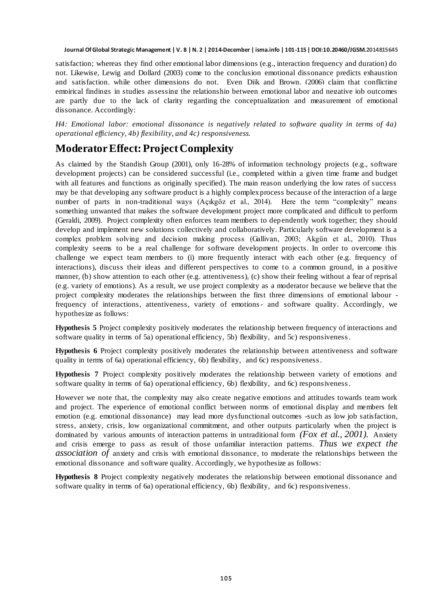satisfaction; whereas they find other emotional labor dimensions (e.g., interaction frequency and duration) do not. Likewise, Lewig and Dollard (2003) come to the conclusion emotional dissonance predicts exhaustion and satisfaction, while other dimensions do not. Even Dijk and Brown, (2006) claim that conflicting empirical findings in studies assessing the relationship between emotional labor and negative job outcomes are partly due to the lack of clarity regarding the conceptualization and measurement of emotional dissonance. Accordingly:

*H4: Emotional labor: emotional dissonance is negatively related to software quality in terms of 4a) operational efficiency, 4b) flexibility, and 4c) responsiveness.*

### **Moderator Effect: Project Complexity**

As claimed by the Standish Group (2001), only 16-28% of information technology projects (e.g., software development projects) can be considered successful (i.e., completed within a given time frame and budget with all features and functions as originally specified). The main reason underlying the low rates of success may be that developing any software product is a highly complex process because of the interaction of a large number of parts in non-traditional ways (Açıkgöz et al., 2014). Here the term "complexity" means something unwanted that makes the software development project more complicated and difficult to perform (Geraldi, 2009). Project complexity often enforces team members to dependently work together; they should develop and implement new solutions collectively and collaboratively. Particularly software development is a complex problem solving and decision making process (Gallivan, 2003; Akgün et al., 2010). Thus complexity seems to be a real challenge for software development projects. In order to overcome this challenge we expect team members to (i) more frequently interact with each other (e.g. frequency of interactions), discuss their ideas and different perspectives to come to a common ground, in a positive manner, (b) show attention to each other (e.g. attentiveness), (c) show their feeling without a fear of reprisal (e.g. variety of emotions). As a result, we use project complexity as a moderator because we believe that the project complexity moderates the relationships between the first three dimensions of emotional labour frequency of interactions, attentiveness, variety of emotions- and software quality. Accordingly, we hypothesize as follows:

**Hypothesis 5** Project complexity positively moderates the relationship between frequency of interactions and software quality in terms of 5a) operational efficiency, 5b) flexibility, and 5c) responsiveness.

**Hypothesis 6** Project complexity positively moderates the relationship between attentiveness and software quality in terms of 6a) operational efficiency, 6b) flexibility, and 6c) responsiveness.

**Hypothesis 7** Project complexity positively moderates the relationship between variety of emotions and software quality in terms of 6a) operational efficiency, 6b) flexibility, and 6c) responsiveness.

However we note that, the complexity may also create negative emotions and attitudes towards team work and project. The experience of emotional conflict between norms of emotional display and members felt emotion (e.g. emotional dissonance) may lead more dysfunctional outcomes -such as low job satisfaction, stress, anxiety, crisis, low organizational commitment, and other outputs particularly when the project is dominated by various amounts of interaction patterns in untraditional form *(Fox et al., 2001).* Anxiety and crisis emerge to pass as result of those unfamiliar interaction patterns. *Thus we expect the association of* anxiety and crisis with emotional dissonance, to moderate the relationships between the emotional dissonance and software quality. Accordingly, we hypothesize as follows:

**Hypothesis 8** Project complexity negatively moderates the relationship between emotional dissonance and software quality in terms of 6a) operational efficiency, 6b) flexibility, and 6c) responsiveness.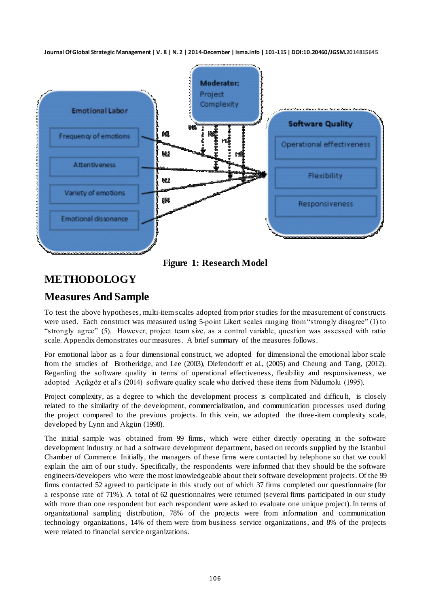

**Figure 1: Research Model**

# **METHODOLOGY**

## **Measures And Sample**

To test the above hypotheses, multi-item scales adopted from prior studies for the measurement of constructs were used. Each construct was measured using 5-point Likert scales ranging from "strongly disagree" (1) to "strongly agree" (5). However, project team size, as a control variable, question was assessed with ratio scale. Appendix demonstrates our measures. A brief summary of the measures follows.

For emotional labor as a four dimensional construct, we adopted for dimensional the emotional labor scale from the studies of Brotheridge, and Lee (2003), Diefendorff et al., (2005) and Cheung and Tang, (2012). Regarding the software quality in terms of operational effectiveness, flexibility and responsiveness, we adopted Açıkgöz et al`s (2014) software quality scale who derived these items from Nidumolu (1995).

Project complexity, as a degree to which the development process is complicated and difficu lt, is closely related to the similarity of the development, commercialization, and communication processes used during the project compared to the previous projects. In this vein, we adopted the three -item complexity scale, developed by Lynn and Akgün (1998).

The initial sample was obtained from 99 firms, which were either directly operating in the software development industry or had a software development department, based on records supplied by the Istanbul Chamber of Commerce. Initially, the managers of these firms were contacted by telephone so that we could explain the aim of our study. Specifically, the respondents were informed that they should be the software engineers/developers who were the most knowledgeable about their software development projects. Of the 99 firms contacted 52 agreed to participate in this study out of which 37 firms completed our questionnaire (for a response rate of 71%). A total of 62 questionnaires were returned (several firms participated in our study with more than one respondent but each respondent were asked to evaluate one unique project). In terms of organizational sampling distribution, 78% of the projects were from information and communication technology organizations, 14% of them were from business service organizations, and 8% of the projects were related to financial service organizations.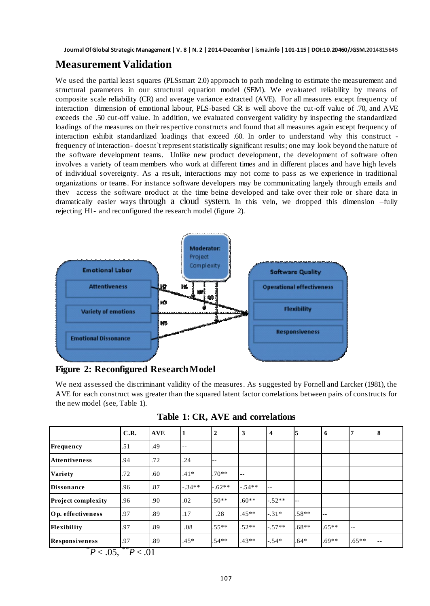### **Measurement Validation**

We used the partial least squares (PLSsmart 2.0) approach to path modeling to estimate the measurement and structural parameters in our structural equation model (SEM). We evaluated reliability by means of composite scale reliability (CR) and average variance extracted (AVE). For all measures except frequency of interaction dimension of emotional labour, PLS-based CR is well above the cut-off value of .70, and AVE exceeds the .50 cut-off value. In addition, we evaluated convergent validity by inspecting the standardized loadings of the measures on their respective constructs and found that all measures again except frequency of interaction exhibit standardized loadings that exceed .60. In order to understand why this construct frequency of interaction- doesnt`t represent statistically significant results; one may look beyond the nature of the software development teams. Unlike new product development, the development of software often involves a variety of team members who work at different times and in different places and have high levels of individual sovereignty. As a result, interactions may not come to pass as we experience in traditional organizations or teams. For instance software developers may be communicating largely through emails and they access the software product at the time being developed and take over their role or share data in dramatically easier ways through a cloud system. In this vein, we dropped this dimension –fully rejecting H1- and reconfigured the research model (figure 2).



**Figure 2: Reconfigured Research Model**

We next assessed the discriminant validity of the measures. As suggested by Fornell and Larcker (1981), the AVE for each construct was greater than the squared latent factor correlations between pairs of constructs for the new model (see, Table 1).

|  | Table 1: CR, AVE and correlations |
|--|-----------------------------------|
|  |                                   |

|                                                      | C.R. | <b>AVE</b> | $\mathbf{1}$ | 2       | 3       | $\overline{4}$ | 5                        | 6       | 7       | 8          |
|------------------------------------------------------|------|------------|--------------|---------|---------|----------------|--------------------------|---------|---------|------------|
| Frequency                                            | .51  | .49        | $ -$         |         |         |                |                          |         |         |            |
| <b>Attentiveness</b>                                 | .94  | .72        | .24          | --      |         |                |                          |         |         |            |
| <b>Variety</b>                                       | .72  | .60        | $.41*$       | $.70**$ | $-$     |                |                          |         |         |            |
| <b>Dissonance</b>                                    | .96  | .87        | $-.34**$     | $-62**$ | $-54**$ | $\sim$ $\sim$  |                          |         |         |            |
| <b>Project complexity</b>                            | .96  | .90        | .02          | $.50**$ | $.60**$ | $-.52**$       | $\overline{\phantom{a}}$ |         |         |            |
| Op. effectiveness                                    | .97  | .89        | .17          | .28     | $.45**$ | $-.31*$        | $.58**$                  | --      |         |            |
| <b>Flexibility</b>                                   | .97  | .89        | .08          | $.55**$ | $.52**$ | $-.57**$       | $.68**$                  | $.65**$ | --      |            |
| <b>Responsiveness</b><br>$m \cdot 0.5$ $m \cdot 0.1$ | .97  | .89        | $.45*$       | $.54**$ | $.43**$ | $-.54*$        | $.64*$                   | $.69**$ | $.65**$ | $\sim$ $-$ |

 $P < .05, P < .01$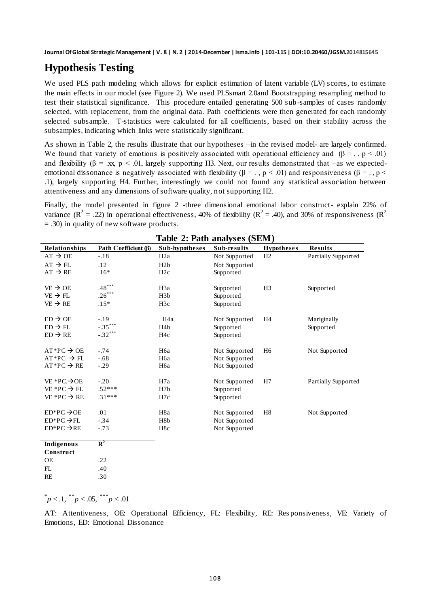### **Hypothesis Testing**

We used PLS path modeling which allows for explicit estimation of latent variable (LV) scores, to estimate the main effects in our model (see Figure 2). We used PLSsmart 2.0and Bootstrapping resampling method to test their statistical significance. This procedure entailed generating 500 sub -samples of cases randomly selected, with replacement, from the original data. Path coefficients were then generated for each randomly selected subsample. T-statistics were calculated for all coefficients, based on their stability across the subsamples, indicating which links were statistically significant.

As shown in Table 2, the results illustrate that our hypotheses –in the revised model- are largely confirmed. We found that variety of emotions is positively associated with operational efficiency and  $(\beta = ., p < .01)$ and flexibility ( $\beta = x$ , p < .01, largely supporting H3. Next, our results demonstrated that –as we expectedemotional dissonance is negatively associated with flexibility ( $\beta = 0.$ , p < .01) and responsiveness ( $\beta = 0.$ , p < .1), largely supporting H4. Further, interestingly we could not found any statistical association between attentiveness and any dimensions of software quality, not supporting H2.

Finally, the model presented in figure 2 -three dimensional emotional labor construct- explain 22% of variance  $(R^2 = .22)$  in operational effectiveness, 40% of flexibility  $(R^2 = .40)$ , and 30% of responsiveness  $(R^2$ = .30) in quality of new software products.

| Table 2. Faul analyses (SENT) |                      |                  |               |                   |                            |  |  |  |
|-------------------------------|----------------------|------------------|---------------|-------------------|----------------------------|--|--|--|
| Relationships                 | Path Coefficient (B) | Sub-hypotheses   | Sub-results   | <b>Hypotheses</b> | <b>Results</b>             |  |  |  |
| $AT \rightarrow OE$           | $-.18$               | H <sub>2</sub> a | Not Supported | H <sub>2</sub>    | Partially Supported        |  |  |  |
| $AT \rightarrow FL$           | .12                  | H2b              | Not Supported |                   |                            |  |  |  |
| $AT \rightarrow RE$           | $.16*$               | H2c              | Supported     |                   |                            |  |  |  |
|                               |                      |                  |               |                   |                            |  |  |  |
| $VE \rightarrow OE$           | $.48***$             | H <sub>3</sub> a | Supported     | H <sub>3</sub>    | Supported                  |  |  |  |
| $VE \rightarrow FL$           | $.26***$             | H3b              | Supported     |                   |                            |  |  |  |
| $VE \rightarrow RE$           | $.15*$               | H <sub>3c</sub>  | Supported     |                   |                            |  |  |  |
| $ED \rightarrow OE$           | $-.19$               | H <sub>4</sub> a | Not Supported | H <sub>4</sub>    | Mariginally                |  |  |  |
| $ED \rightarrow FL$           | $-.35***$            | H <sub>4</sub> b | Supported     |                   | Supported                  |  |  |  |
| $ED \rightarrow RE$           | $-.32***$            | H <sub>4c</sub>  | Supported     |                   |                            |  |  |  |
|                               |                      |                  |               |                   |                            |  |  |  |
| $AT*PC \rightarrow OE$        | $-.74$               | H <sub>6</sub> a | Not Supported | H <sub>6</sub>    | Not Supported              |  |  |  |
| $AT*PC \rightarrow FL$        | $-.68$               | H <sub>6</sub> a | Not Supported |                   |                            |  |  |  |
| $AT*PC \rightarrow RE$        | $-.29$               | H <sub>6</sub> a | Not Supported |                   |                            |  |  |  |
| $VE*PC.\rightarrow$ OE        | $-.20$               | H7a              | Not Supported | H7                | <b>Partially Supported</b> |  |  |  |
| VE *PC $\rightarrow$ FL       | $.52***$             | H <sub>7</sub> b | Supported     |                   |                            |  |  |  |
| VE *PC $\rightarrow$ RE       | $.31***$             | H7c              | Supported     |                   |                            |  |  |  |
| $ED*PC \rightarrow$ OE        | .01                  | H8a              | Not Supported | H <sub>8</sub>    | Not Supported              |  |  |  |
| $ED*PC \rightarrow FL$        | $-.34$               | H8b              | Not Supported |                   |                            |  |  |  |
| $ED*PC \rightarrow RE$        | $-.73$               | H8c              | Not Supported |                   |                            |  |  |  |
|                               |                      |                  |               |                   |                            |  |  |  |
| Indigenous                    | ${\bf R}^2$          |                  |               |                   |                            |  |  |  |
| Construct                     |                      |                  |               |                   |                            |  |  |  |
| OE                            | .22                  |                  |               |                   |                            |  |  |  |
| FL                            | .40                  |                  |               |                   |                            |  |  |  |
| <b>RE</b>                     | 30                   |                  |               |                   |                            |  |  |  |

#### **Table 2: Path analyses (SEM)**

 $p < 0.1, p < 0.05, p < 0.01$ 

AT: Attentiveness, OE: Operational Efficiency, FL: Flexibility, RE: Res ponsiveness, VE: Variety of Emotions, ED: Emotional Dissonance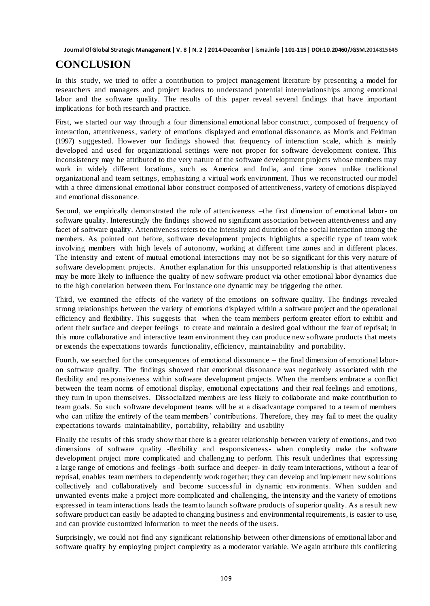# **CONCLUSION**

In this study, we tried to offer a contribution to project management literature by presenting a model for researchers and managers and project leaders to understand potential interrelationships among emotional labor and the software quality. The results of this paper reveal several findings that have important implications for both research and practice.

First, we started our way through a four dimensional emotional labor construct, composed of frequency of interaction, attentiveness, variety of emotions displayed and emotional dissonance, as Morris and Feldman (1997) suggested. However our findings showed that frequency of interaction scale, which is mainly developed and used for organizational settings were not proper for software development context. This inconsistency may be attributed to the very nature of the software development projects whose members may work in widely different locations, such as America and India, and time zones unlike traditional organizational and team settings, emphasizing a virtual work environment. Thus we reconstructed our model with a three dimensional emotional labor construct composed of attentiveness, variety of emotions displayed and emotional dissonance.

Second, we empirically demonstrated the role of attentiveness –the first dimension of emotional labor- on software quality. Interestingly the findings showed no significant association between attentiveness and any facet of software quality. Attentiveness refers to the intensity and duration of the social interaction among the members. As pointed out before, software development projects highlights a specific type of team work involving members with high levels of autonomy, working at different time zones and in different places. The intensity and extent of mutual emotional interactions may not be so significant for this very nature of software development projects. Another explanation for this unsupported relationship is that attentiveness may be more likely to influence the quality of new software product via other emotional labor dynamics due to the high correlation between them. For instance one dynamic may be triggering the other.

Third, we examined the effects of the variety of the emotions on software quality. The findings revealed strong relationships between the variety of emotions displayed within a software project and the operational efficiency and flexibility. This suggests that when the team members perform greater effort to exhibit and orient their surface and deeper feelings to create and maintain a desired goal without the fear of reprisal; in this more collaborative and interactive team environment they can produce new software products that meets or extends the expectations towards functionality, efficiency, maintainability and portability.

Fourth, we searched for the consequences of emotional dissonance – the final dimension of emotional laboron software quality. The findings showed that emotional dissonance was negatively associated with the flexibility and responsiveness within software development projects. When the members embrace a conflict between the team norms of emotional display, emotional expectations and their real feelings and emotions, they turn in upon themselves. Dissocialized members are less likely to collaborate and make contribution to team goals. So such software development teams will be at a disadvantage compared to a team of members who can utilize the entirety of the team members' contributions. Therefore, they may fail to meet the quality expectations towards maintainability, portability, reliability and usability

Finally the results of this study show that there is a greater relationship between variety of emotions, and two dimensions of software quality -flexibility and responsiveness- when complexity make the software development project more complicated and challenging to perform. This result underlines that expressing a large range of emotions and feelings -both surface and deeper- in daily team interactions, without a fear of reprisal, enables team members to dependently work together; they can develop and implement new solutions collectively and collaboratively and become successful in dynamic environments. When sudden and unwanted events make a project more complicated and challenging, the intensity and the variety of emotions expressed in team interactions leads the team to launch software products of superior quality. As a result new software product can easily be adapted to changing business and environmental requirements, is easier to use, and can provide customized information to meet the needs of the users.

Surprisingly, we could not find any significant relationship between other dimensions of emotional labor and software quality by employing project complexity as a moderator variable. We again attribute this conflicting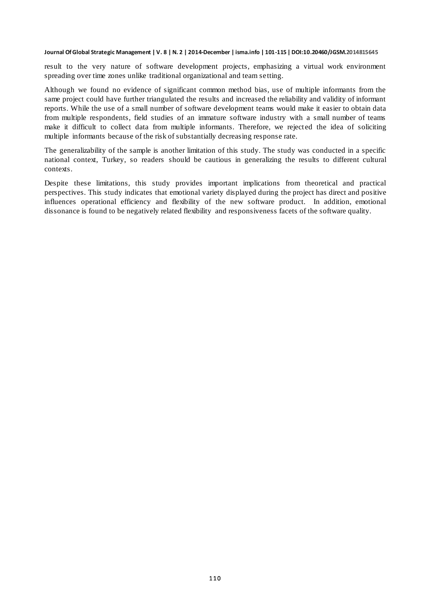result to the very nature of software development projects, emphasizing a virtual work environment spreading over time zones unlike traditional organizational and team setting.

Although we found no evidence of significant common method bias, use of multiple informants from the same project could have further triangulated the results and increased the reliability and validity of informant reports. While the use of a small number of software development teams would make it easier to obtain data from multiple respondents, field studies of an immature software industry with a small number of teams make it difficult to collect data from multiple informants. Therefore, we rejected the idea of soliciting multiple informants because of the risk of substantially decreasing response rate.

The generalizability of the sample is another limitation of this study. The study was conducted in a specific national context, Turkey, so readers should be cautious in generalizing the results to different cultural contexts.

Despite these limitations, this study provides important implications from theoretical and practical perspectives. This study indicates that emotional variety displayed during the project has direct and positive influences operational efficiency and flexibility of the new software product. In addition, emotional dissonance is found to be negatively related flexibility and responsiveness facets of the software quality.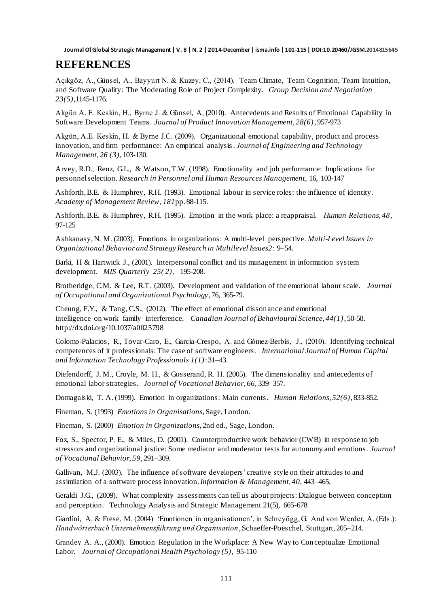#### **REFERENCES**

Açıkgöz, A., Günsel, A., Bayyurt N. & Kuzey, C., (2014). Team Climate, Team Cognition, Team Intuition, and Software Quality: The Moderating Role of Project Complexity. *Group Decision and Negotiation 23(5)*,1145-1176.

Akgün A. E. Keskin, H., Byrne J. & Günsel, A, (2010). Antecedents and Results of Emotional Capability in Software Development Teams. *Journal of Product Innovation Management, 28(6)*, 957-973

Akgün, A.E. Keskin, H. & Byrne J.C. (2009). Organizational [emotional capability, product and process](http://www.sciencedirect.com/science/article/pii/S0923474809000204)  [innovation, and firm performance: An empirical analysis.](http://www.sciencedirect.com/science/article/pii/S0923474809000204) *Journal of Engineering and Technology Management, 26 (3)*, 103-130.

Arvey, R.D., Renz, G.L., & Watson, T.W. (1998). Emotionality and job performance: Implications for personnel selection. *Research in Personnel and Human Resources Management,* 16, 103-147

Ashforth, B.E. & Humphrey, R.H. (1993). Emotional labour in service roles: the influence of identity. *Academy of Management Review, 181*pp. 88-115.

Ashforth, B.E. & Humphrey, R.H. (1995). Emotion in the work place: a reappraisal. *Human Relations, 48*, 97-125

Ashkanasy, N. M. (2003). Emotions in organizations: A multi-level perspective. *Multi-Level Issues in Organizational Behavior and Strategy Research in Multilevel Issues2*: 9–54.

[Barki,](http://scholar.google.com.tr/citations?user=si4tGsMAAAAJ&hl=tr&oi=sra) H & Hartwick J., (2001). [Interpersonal conflict and its management in information system](http://www.jstor.org/stable/3250929)  [development.](http://www.jstor.org/stable/3250929) *[MIS Quarterly](http://www.jstor.org/action/showPublication?journalCode=misquarterly) [25\( 2\),](http://www.jstor.org/stable/10.2307/i363347)* 195-208.

Brotheridge, C.M. & Lee, R.T. (2003). Development and validation of the emotional labour scale. *Journal of Occupational and Organizational Psychology*, 76, 365-79.

Cheung, F.Y., & Tang, C.S., (2012). The effect of emotional dissonance and emotional intelligence on work–family interference*. Canadian Journal of Behavioural Science, 44(1)*, 50-58. [http://dx.doi.org/10.1037/a0025798](http://psycnet.apa.org/doi/10.1037/a0025798)

Colomo-Palacios, R., Tovar-Caro, E., García-Crespo, A. and Gómez-Berbís, J., (2010). Identifying technical competences of it professionals: The case of software engineers. *International Journal of Human Capital and Information Technology Professionals 1(1)*: 31–43.

Diefendorff, J. M., Croyle, M. H., & Gosserand, R. H. (2005). The dimensionality and antecedents of emotional labor strategies. *Journal of Vocational Behavior, 66,* 339–357.

Domagalski, T. A. (1999). Emotion in organizations: Main currents. *Human Relations, 52(6)*, 833-852.

Fineman, S. (1993) *Emotions in Organisations*, Sage, London.

Fineman, S. (2000) *Emotion in Organizations*, 2nd ed., Sage, London.

Fox, S., Spector, P. E., & Miles, D. (2001). Counterproductive work behavior (CWB) in response to job stressors and organizational justice: Some mediator and moderator tests for autonomy and emotions. *Journal of Vocational Behavior, 59*, 291–309.

Gallivan, M.J. (2003). The influence of software developers' creative style on their attitudes to and assimilation of a software process innovation. *Information & Management, 40,* 443–465,

Geraldi J.G., (2009). What complexity assessments can tell us about projects: Dialogue between conception and perception. Technology Analysis and Strategic Management 21(5), 665-678

Giardini, A. & Frese, M. (2004) "Emotionen in organisationen", in Schreyögg, G. And von Werder, A. (Eds.): *Handwörterbuch Unternehmensführung und Organisation*, Schaeffer-Poeschel, Stuttgart, 205–214.

Grandey A. A., (2000). Emotion Regulation in the Workplace: A New Way to Conceptualize Emotional Labor. *Journal of Occupational Health Psychology (5),* 95-110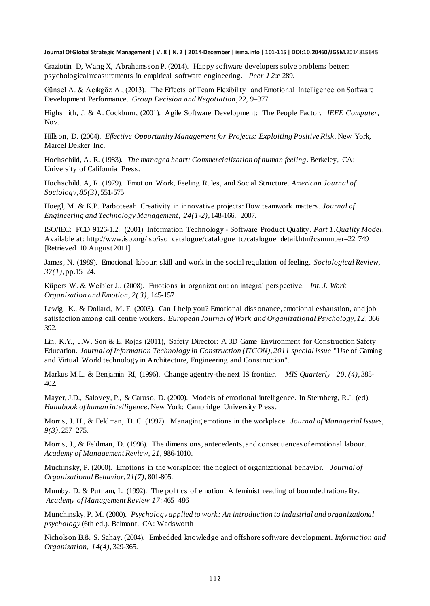Graziotin D, Wang X, Abrahamsson P. (2014). Happy software developers solve problems better: psychological measurements in empirical software engineering. *Peer J 2*:e 289.

Günsel A. & Açıkgöz A., (2013). The Effects of Team Flexibility and Emotional Intelligence on Software Development Performance. *Group Decision and Negotiation*, 22, 9–377.

Highsmith, J. & A. Cockburn, (2001). [Agile Software Development: The People Factor.](http://rockfish-cs.cs.unc.edu/COMP290-s02/CoHiInnov-01.pdf) *IEEE Computer*, Nov.

Hillson, D. (2004). *Effective Opportunity Management for Projects: Exploiting Positive Risk.* New York, Marcel Dekker Inc.

Hochschild, A. R. (1983). *The managed heart: Commercialization of human feeling*. Berkeley, CA: University of California Press.

Hochschild. A, R. (1979). Emotion Work, Feeling Rules, and Social Structure. *American Journal of Sociology, 85(3)*, 551-575

Hoegl, M. & K.P. Parboteeah. Creativity in innovative projects: How teamwork matters. *Journal of Engineering and Technology Management, 24(1-2),* 148-166, 2007.

ISO/IEC: FCD 9126-1.2. (2001) Information Technology - Software Product Quality. *Part 1:Quality Model*. Available at[: http://www.iso.org/iso/iso\\_catalogue/catalogue\\_tc/catalogue\\_detail.htm?csnumber=22](http://www.iso.org/iso/iso_catalogue/catalogue_tc/catalogue_detail.htm?csnumber=22) 749 [Retrieved 10 August 2011]

James, N. (1989). Emotional labour: skill and work in the social regulation of feeling. *Sociological Review, 37(1)*, pp.15–24.

Küpers W. & Weibler J,. (2008). Emotions in organization: an integral perspective. *Int. J. Work Organization and Emotion, 2( 3)*, 145-157

Lewig, K., & Dollard, M. F. (2003). Can I help you? Emotional diss onance, emotional exhaustion, and job satisfaction among call centre workers. *European Journal of Work and Organizational Psychology, 12, 366*– 392.

Lin, K.Y., J.W. Son & E. Rojas (2011), Safety Director: A 3D Game Environment for Construction Safety Education. *Journal of Information Technology in Construction (ITCON), 2011 special issue* "Use of Gaming and Virtual World technology in Architecture, Engineering and Construction".

[Markus](http://scholar.google.com.tr/citations?user=5aXawzwAAAAJ&hl=tr&oi=sra) M.L. & Benjamin RI, (1996). [Change agentry-the next IS frontier](http://www.jstor.org/stable/249561)*. [MIS Quarterly](http://www.jstor.org/action/showPublication?journalCode=misquarterly) [20, \(4\),](http://www.jstor.org/stable/10.2307/i211415)* 385- 402.

Mayer, J.D., Salovey, P., & Caruso, D. (2000). Models of emotional intelligence. In Sternberg, R.J. (ed). *Handbook of human intelligence*. New York: Cambridge University Press.

Morris, J. H., & Feldman, D. C. (1997). Managing emotions in the workplace. *Journal of Managerial Issues, 9(3)*, 257–275.

Morris, J., & Feldman, D. (1996). The dimensions, antecedents, and consequences of emotional labour. *Academy of Management Review, 21,* 986-1010.

Muchinsky, P. (2000). Emotions in the workplace: the neglect of organizational behavior. *Journal of Organizational Behavior, 21(7),* 801-805.

Mumby, D. & Putnam, L. (1992). The politics of emotion: A feminist reading of bou nded rationality. *Academy of Management Review 17*: 465–486

Munchinsky, P. M. (2000). *Psychology applied to work: An introduction to industrial and organizational psychology* (6th ed.). Belmont, CA: Wadsworth

Nicholson B.& S. Sahay. (2004). Embedded knowledge and offshore software development. *Information and Organization, 14(4),* 329-365.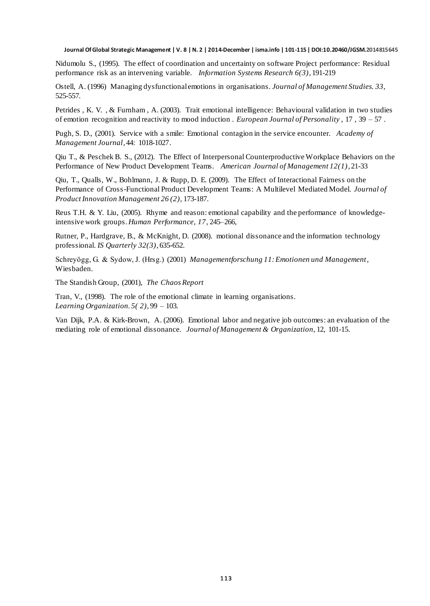Nidumolu S., (1995). The effect of coordination and uncertainty on software Project performance: Residual performance risk as an intervening variable. *Information Systems Research 6(3)*, 191-219

Ostell, A. (1996) Managing dysfunctional emotions in organisations. *Journal of Management Studies. 33,*  525-557.

Petrides , K. V. , & Furnham , A. (2003). Trait emotional intelligence: Behavioural validation in two studies of emotion recognition and reactivity to mood induction . *European Journal of Personality* , 17 , 39 – 57 .

Pugh, S. D., (2001). Service with a smile: Emotional contagion in the service encounter. *Academy of Management Journal*, 44: 1018-1027.

Qiu T., & Peschek B. S., (2012). The Effect of Interpersonal Counterproductive Workplace Behaviors on the Performance of New Product Development Teams. *American Journal of Management 12(1)*, 21-33

Qiu, T., Qualls, W., Bohlmann, J. & Rupp, D. E. (2009). The Effect of Interactional Fairness on the Performance of Cross-Functional Product Development Teams: A Multilevel Mediated Model. *Journal of Product Innovation Management 26 (2),* 173-187.

Reus T.H. & Y. Liu, (2005). Rhyme and reason: emotional capability and the performance of knowledgeintensive work groups. *Human Performance, 17*, 245–266,

Rutner, P., Hardgrave, B., & McKnight, D. (2008). motional dissonance and the information technology professional. *IS Quarterly 32(3)*, 635-652.

Schreyögg, G. & Sydow, J. (Hrsg.) (2001) *Managementforschung 11: Emotionen und Management*, Wiesbaden.

The Standish Group, (2001), *The Chaos Report*

Tran, V., (1998). The role of the emotional climate in learning organisations. *Learning Organization. 5( 2),* 99 – 103.

Van Dijk, P.A. & Kirk-Brown, A. (2006). Emotional labor and negative job outcomes: an evaluation of the mediating role of emotional dissonance. *Journal of Management & Organization,* 12, 101-15.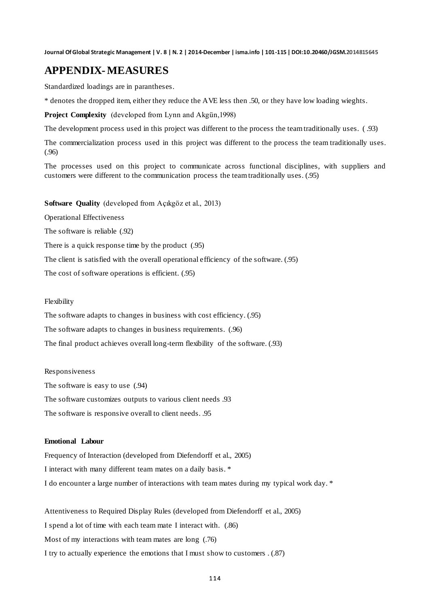#### **APPENDIX-MEASURES**

Standardized loadings are in parantheses.

\* denotes the dropped item, either they reduce the AVE less then .50, or they have low loading wieghts.

**Project Complexity** (developed from Lynn and Akgün,1998)

The development process used in this project was different to the process the team traditionally uses. ( .93)

The commercialization process used in this project was different to the process the team traditionally uses. (.96)

The processes used on this project to communicate across functional disciplines, with suppliers and customers were different to the communication process the team traditionally uses. (.95)

#### **Software Quality** (developed from Açıkgöz et al., 2013)

Operational Effectiveness

The software is reliable (.92)

There is a quick response time by the product (.95)

The client is satisfied with the overall operational efficiency of the software. (.95)

The cost of software operations is efficient. (.95)

#### Flexibility

The software adapts to changes in business with cost efficiency. (.95)

The software adapts to changes in business requirements. (.96)

The final product achieves overall long-term flexibility of the software. (.93)

#### Responsiveness

The software is easy to use (.94) The software customizes outputs to various client needs .93 The software is responsive overall to client needs. .95

#### **Emotional Labour**

Frequency of Interaction (developed from Diefendorff et al., 2005) I interact with many different team mates on a daily basis. \* I do encounter a large number of interactions with team mates during my typical work day. \*

Attentiveness to Required Display Rules (developed from Diefendorff et al., 2005) I spend a lot of time with each team mate I interact with. (.86) Most of my interactions with team mates are long (.76) I try to actually experience the emotions that I must show to customers . (.87)